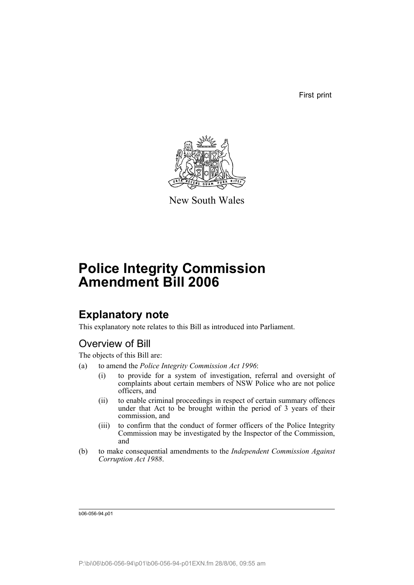First print



New South Wales

# **Police Integrity Commission Amendment Bill 2006**

# **Explanatory note**

This explanatory note relates to this Bill as introduced into Parliament.

# Overview of Bill

The objects of this Bill are:

- (a) to amend the *Police Integrity Commission Act 1996*:
	- (i) to provide for a system of investigation, referral and oversight of complaints about certain members of NSW Police who are not police officers, and
	- (ii) to enable criminal proceedings in respect of certain summary offences under that Act to be brought within the period of 3 years of their commission, and
	- (iii) to confirm that the conduct of former officers of the Police Integrity Commission may be investigated by the Inspector of the Commission, and
- (b) to make consequential amendments to the *Independent Commission Against Corruption Act 1988*.

b06-056-94.p01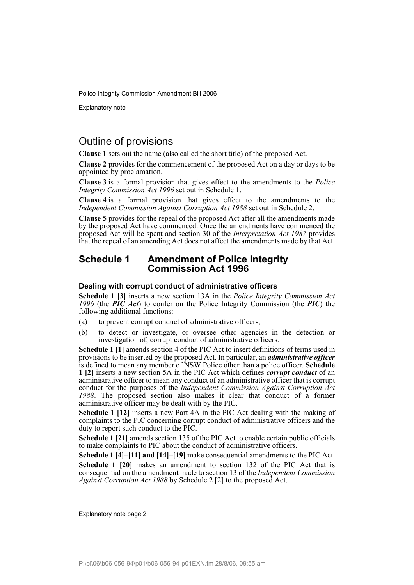Explanatory note

## Outline of provisions

**Clause 1** sets out the name (also called the short title) of the proposed Act.

**Clause 2** provides for the commencement of the proposed Act on a day or days to be appointed by proclamation.

**Clause 3** is a formal provision that gives effect to the amendments to the *Police Integrity Commission Act 1996* set out in Schedule 1.

**Clause 4** is a formal provision that gives effect to the amendments to the *Independent Commission Against Corruption Act 1988* set out in Schedule 2.

**Clause 5** provides for the repeal of the proposed Act after all the amendments made by the proposed Act have commenced. Once the amendments have commenced the proposed Act will be spent and section 30 of the *Interpretation Act 1987* provides that the repeal of an amending Act does not affect the amendments made by that Act.

### **Schedule 1 Amendment of Police Integrity Commission Act 1996**

### **Dealing with corrupt conduct of administrative officers**

**Schedule 1 [3]** inserts a new section 13A in the *Police Integrity Commission Act 1996* (the *PIC Act*) to confer on the Police Integrity Commission (the *PIC*) the following additional functions:

- (a) to prevent corrupt conduct of administrative officers,
- (b) to detect or investigate, or oversee other agencies in the detection or investigation of, corrupt conduct of administrative officers.

**Schedule 1 [1]** amends section 4 of the PIC Act to insert definitions of terms used in provisions to be inserted by the proposed Act. In particular, an *administrative officer* is defined to mean any member of NSW Police other than a police officer. **Schedule 1 [2]** inserts a new section 5A in the PIC Act which defines *corrupt conduct* of an administrative officer to mean any conduct of an administrative officer that is corrupt conduct for the purposes of the *Independent Commission Against Corruption Act 1988*. The proposed section also makes it clear that conduct of a former administrative officer may be dealt with by the PIC.

**Schedule 1 [12]** inserts a new Part 4A in the PIC Act dealing with the making of complaints to the PIC concerning corrupt conduct of administrative officers and the duty to report such conduct to the PIC.

**Schedule 1 [21]** amends section 135 of the PIC Act to enable certain public officials to make complaints to PIC about the conduct of administrative officers.

**Schedule 1 [4]–[11] and [14]–[19]** make consequential amendments to the PIC Act. **Schedule 1 [20]** makes an amendment to section 132 of the PIC Act that is consequential on the amendment made to section 13 of the *Independent Commission Against Corruption Act 1988* by Schedule 2 [2] to the proposed Act.

Explanatory note page 2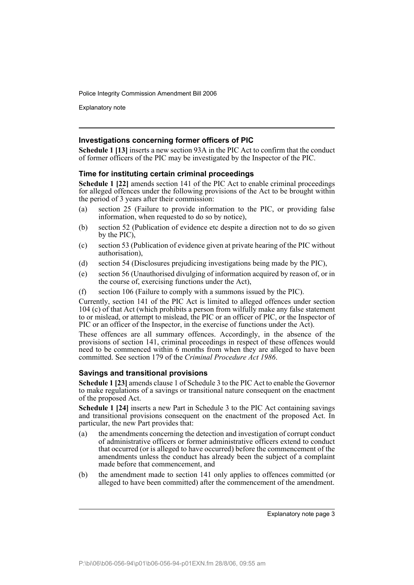Explanatory note

### **Investigations concerning former officers of PIC**

**Schedule 1 [13]** inserts a new section 93A in the PIC Act to confirm that the conduct of former officers of the PIC may be investigated by the Inspector of the PIC.

### **Time for instituting certain criminal proceedings**

**Schedule 1 [22]** amends section 141 of the PIC Act to enable criminal proceedings for alleged offences under the following provisions of the Act to be brought within the period of 3 years after their commission:

- (a) section 25 (Failure to provide information to the PIC, or providing false information, when requested to do so by notice),
- (b) section 52 (Publication of evidence etc despite a direction not to do so given by the PIC),
- (c) section 53 (Publication of evidence given at private hearing of the PIC without authorisation),
- (d) section 54 (Disclosures prejudicing investigations being made by the PIC),
- (e) section 56 (Unauthorised divulging of information acquired by reason of, or in the course of, exercising functions under the Act),
- (f) section 106 (Failure to comply with a summons issued by the PIC).

Currently, section 141 of the PIC Act is limited to alleged offences under section 104 (c) of that Act (which prohibits a person from wilfully make any false statement to or mislead, or attempt to mislead, the PIC or an officer of PIC, or the Inspector of PIC or an officer of the Inspector, in the exercise of functions under the Act).

These offences are all summary offences. Accordingly, in the absence of the provisions of section 141, criminal proceedings in respect of these offences would need to be commenced within 6 months from when they are alleged to have been committed. See section 179 of the *Criminal Procedure Act 1986*.

### **Savings and transitional provisions**

**Schedule 1 [23]** amends clause 1 of Schedule 3 to the PIC Act to enable the Governor to make regulations of a savings or transitional nature consequent on the enactment of the proposed Act.

**Schedule 1 [24]** inserts a new Part in Schedule 3 to the PIC Act containing savings and transitional provisions consequent on the enactment of the proposed Act. In particular, the new Part provides that:

- (a) the amendments concerning the detection and investigation of corrupt conduct of administrative officers or former administrative officers extend to conduct that occurred (or is alleged to have occurred) before the commencement of the amendments unless the conduct has already been the subject of a complaint made before that commencement, and
- (b) the amendment made to section 141 only applies to offences committed (or alleged to have been committed) after the commencement of the amendment.

Explanatory note page 3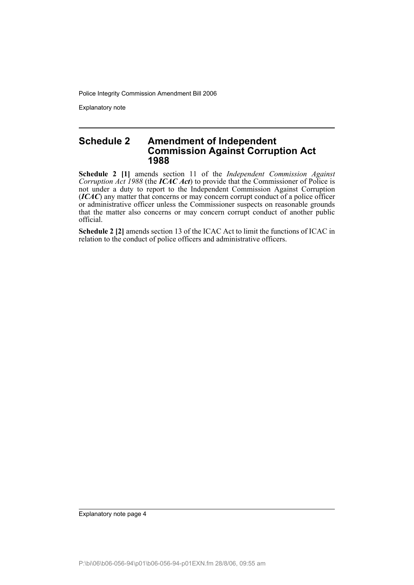Explanatory note

### **Schedule 2 Amendment of Independent Commission Against Corruption Act 1988**

**Schedule 2 [1]** amends section 11 of the *Independent Commission Against Corruption Act 1988* (the *ICAC Act*) to provide that the Commissioner of Police is not under a duty to report to the Independent Commission Against Corruption (*ICAC*) any matter that concerns or may concern corrupt conduct of a police officer or administrative officer unless the Commissioner suspects on reasonable grounds that the matter also concerns or may concern corrupt conduct of another public official.

**Schedule 2 [2]** amends section 13 of the ICAC Act to limit the functions of ICAC in relation to the conduct of police officers and administrative officers.

Explanatory note page 4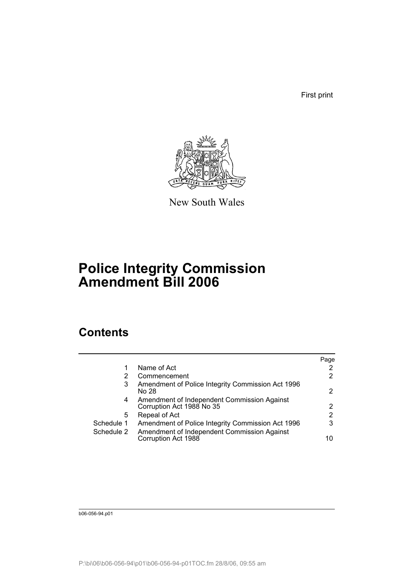First print



New South Wales

# **Police Integrity Commission Amendment Bill 2006**

# **Contents**

|            |                                                                          | Page                  |
|------------|--------------------------------------------------------------------------|-----------------------|
|            | Name of Act                                                              | $\mathbf{2}^{\prime}$ |
| 2          | Commencement                                                             | $\mathbf{2}^{\prime}$ |
| 3          | Amendment of Police Integrity Commission Act 1996<br>No 28               | $\mathbf{2}^{\prime}$ |
| 4          | Amendment of Independent Commission Against<br>Corruption Act 1988 No 35 | $\mathbf{2}^{\circ}$  |
| 5          | Repeal of Act                                                            | 2                     |
| Schedule 1 | Amendment of Police Integrity Commission Act 1996                        | 3                     |
| Schedule 2 | Amendment of Independent Commission Against<br>Corruption Act 1988       | 10                    |

b06-056-94.p01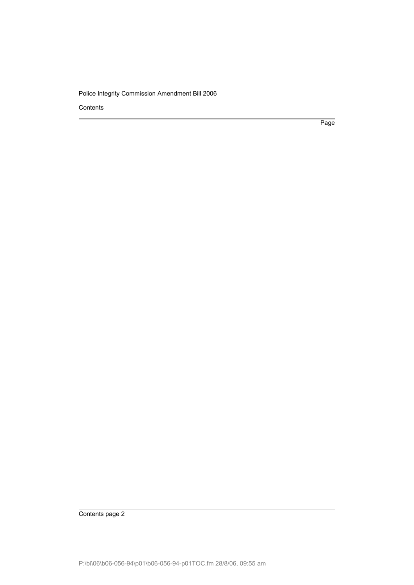Contents

Page

Contents page 2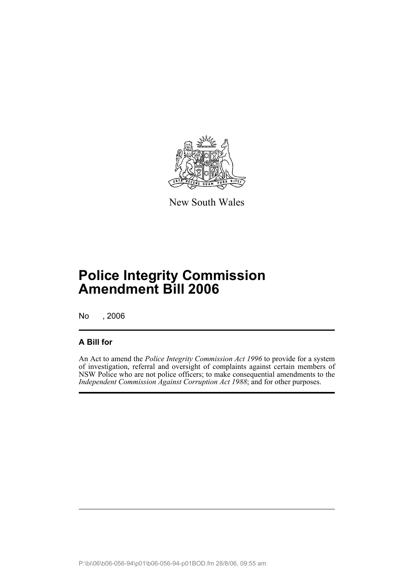

New South Wales

# **Police Integrity Commission Amendment Bill 2006**

No , 2006

## **A Bill for**

An Act to amend the *Police Integrity Commission Act 1996* to provide for a system of investigation, referral and oversight of complaints against certain members of NSW Police who are not police officers; to make consequential amendments to the *Independent Commission Against Corruption Act 1988*; and for other purposes.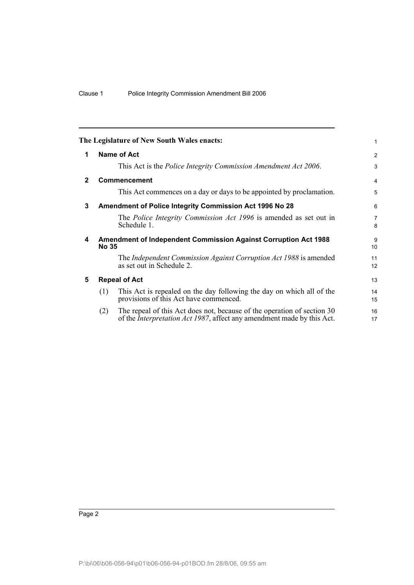<span id="page-7-4"></span><span id="page-7-3"></span><span id="page-7-2"></span><span id="page-7-1"></span><span id="page-7-0"></span>

|              |              | The Legislature of New South Wales enacts:                                                                                                                | 1                    |
|--------------|--------------|-----------------------------------------------------------------------------------------------------------------------------------------------------------|----------------------|
| 1            |              | Name of Act                                                                                                                                               | 2                    |
|              |              | This Act is the <i>Police Integrity Commission Amendment Act 2006</i> .                                                                                   | 3                    |
| $\mathbf{2}$ |              | <b>Commencement</b>                                                                                                                                       | $\overline{4}$       |
|              |              | This Act commences on a day or days to be appointed by proclamation.                                                                                      | 5                    |
| 3            |              | Amendment of Police Integrity Commission Act 1996 No 28                                                                                                   | 6                    |
|              |              | The <i>Police Integrity Commission Act 1996</i> is amended as set out in<br>Schedule 1.                                                                   | $\overline{7}$<br>8  |
| 4            | <b>No 35</b> | <b>Amendment of Independent Commission Against Corruption Act 1988</b>                                                                                    | 9<br>10 <sup>1</sup> |
|              |              | The Independent Commission Against Corruption Act 1988 is amended<br>as set out in Schedule 2.                                                            | 11<br>12             |
| 5            |              | <b>Repeal of Act</b>                                                                                                                                      | 13                   |
|              | (1)          | This Act is repealed on the day following the day on which all of the<br>provisions of this Act have commenced.                                           | 14<br>15             |
|              | (2)          | The repeal of this Act does not, because of the operation of section 30<br>of the <i>Interpretation Act 1987</i> , affect any amendment made by this Act. | 16<br>17             |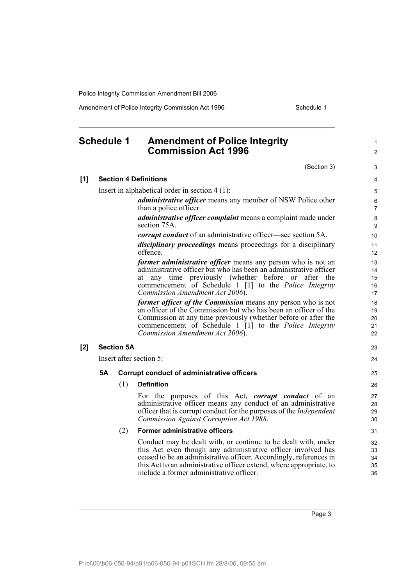Amendment of Police Integrity Commission Act 1996 Schedule 1

## <span id="page-8-0"></span>**Schedule 1 Amendment of Police Integrity Commission Act 1996**

1 2

|     |                                                  |                   | (Section 3)                                                                                                                                                                                                                                                                                                             | 3                          |  |  |
|-----|--------------------------------------------------|-------------------|-------------------------------------------------------------------------------------------------------------------------------------------------------------------------------------------------------------------------------------------------------------------------------------------------------------------------|----------------------------|--|--|
| [1] |                                                  |                   | <b>Section 4 Definitions</b>                                                                                                                                                                                                                                                                                            | 4                          |  |  |
|     | Insert in alphabetical order in section $4(1)$ : |                   |                                                                                                                                                                                                                                                                                                                         |                            |  |  |
|     |                                                  |                   | <i>administrative officer</i> means any member of NSW Police other<br>than a police officer.                                                                                                                                                                                                                            | 6<br>$\overline{7}$        |  |  |
|     |                                                  |                   | <i>administrative officer complaint</i> means a complaint made under<br>section 75A.                                                                                                                                                                                                                                    | 8<br>9                     |  |  |
|     |                                                  |                   | <i>corrupt conduct</i> of an administrative officer—see section 5A.                                                                                                                                                                                                                                                     | 10                         |  |  |
|     |                                                  |                   | <i>disciplinary proceedings</i> means proceedings for a disciplinary<br>offence.                                                                                                                                                                                                                                        | 11<br>12                   |  |  |
|     |                                                  |                   | former administrative officer means any person who is not an<br>administrative officer but who has been an administrative officer<br>any time previously (whether before or after the<br>at<br>commencement of Schedule 1 [1] to the <i>Police Integrity</i><br>Commission Amendment Act 2006).                         | 13<br>14<br>15<br>16<br>17 |  |  |
|     |                                                  |                   | former officer of the Commission means any person who is not<br>an officer of the Commission but who has been an officer of the<br>Commission at any time previously (whether before or after the<br>commencement of Schedule 1 [1] to the <i>Police Integrity</i><br>Commission Amendment Act 2006).                   | 18<br>19<br>20<br>21<br>22 |  |  |
| [2] |                                                  | <b>Section 5A</b> |                                                                                                                                                                                                                                                                                                                         | 23                         |  |  |
|     | Insert after section 5:                          |                   |                                                                                                                                                                                                                                                                                                                         |                            |  |  |
|     | <b>5A</b>                                        |                   | <b>Corrupt conduct of administrative officers</b>                                                                                                                                                                                                                                                                       | 25                         |  |  |
|     |                                                  | (1)               | <b>Definition</b>                                                                                                                                                                                                                                                                                                       | 26                         |  |  |
|     |                                                  |                   | For the purposes of this Act, <i>corrupt conduct</i> of an<br>administrative officer means any conduct of an administrative<br>officer that is corrupt conduct for the purposes of the <i>Independent</i><br>Commission Against Corruption Act 1988.                                                                    | 27<br>28<br>29<br>30       |  |  |
|     |                                                  | (2)               | Former administrative officers                                                                                                                                                                                                                                                                                          | 31                         |  |  |
|     |                                                  |                   | Conduct may be dealt with, or continue to be dealt with, under<br>this Act even though any administrative officer involved has<br>ceased to be an administrative officer. Accordingly, references in<br>this Act to an administrative officer extend, where appropriate, to<br>include a former administrative officer. | 32<br>33<br>34<br>35<br>36 |  |  |
|     |                                                  |                   |                                                                                                                                                                                                                                                                                                                         |                            |  |  |

Page 3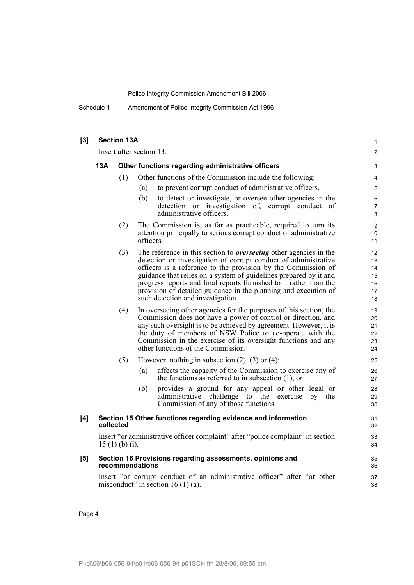Schedule 1 Amendment of Police Integrity Commission Act 1996

| $[3]$ | <b>Section 13A</b>                                                                                                  |                                                   |                                                                                                                                                                                                                                                                                                                                                                                                                                                                 |                                        |  |  |
|-------|---------------------------------------------------------------------------------------------------------------------|---------------------------------------------------|-----------------------------------------------------------------------------------------------------------------------------------------------------------------------------------------------------------------------------------------------------------------------------------------------------------------------------------------------------------------------------------------------------------------------------------------------------------------|----------------------------------------|--|--|
|       |                                                                                                                     |                                                   | Insert after section 13:                                                                                                                                                                                                                                                                                                                                                                                                                                        | 2                                      |  |  |
|       | 13A                                                                                                                 | Other functions regarding administrative officers |                                                                                                                                                                                                                                                                                                                                                                                                                                                                 |                                        |  |  |
|       |                                                                                                                     | (1)                                               | Other functions of the Commission include the following:                                                                                                                                                                                                                                                                                                                                                                                                        | $\overline{4}$                         |  |  |
|       |                                                                                                                     |                                                   | to prevent corrupt conduct of administrative officers,<br>(a)                                                                                                                                                                                                                                                                                                                                                                                                   | 5                                      |  |  |
|       |                                                                                                                     |                                                   | (b)<br>to detect or investigate, or oversee other agencies in the<br>detection or investigation of, corrupt conduct of<br>administrative officers.                                                                                                                                                                                                                                                                                                              | 6<br>$\overline{7}$<br>8               |  |  |
|       |                                                                                                                     | (2)                                               | The Commission is, as far as practicable, required to turn its<br>attention principally to serious corrupt conduct of administrative<br>officers.                                                                                                                                                                                                                                                                                                               | 9<br>10<br>11                          |  |  |
|       |                                                                                                                     | (3)                                               | The reference in this section to <i>overseeing</i> other agencies in the<br>detection or investigation of corrupt conduct of administrative<br>officers is a reference to the provision by the Commission of<br>guidance that relies on a system of guidelines prepared by it and<br>progress reports and final reports furnished to it rather than the<br>provision of detailed guidance in the planning and execution of<br>such detection and investigation. | 12<br>13<br>14<br>15<br>16<br>17<br>18 |  |  |
|       |                                                                                                                     | (4)                                               | In overseeing other agencies for the purposes of this section, the<br>Commission does not have a power of control or direction, and<br>any such oversight is to be achieved by agreement. However, it is<br>the duty of members of NSW Police to co-operate with the<br>Commission in the exercise of its oversight functions and any<br>other functions of the Commission.                                                                                     | 19<br>20<br>21<br>22<br>23<br>24       |  |  |
|       |                                                                                                                     | (5)                                               | However, nothing in subsection $(2)$ , $(3)$ or $(4)$ :                                                                                                                                                                                                                                                                                                                                                                                                         | 25                                     |  |  |
|       |                                                                                                                     |                                                   | affects the capacity of the Commission to exercise any of<br>(a)<br>the functions as referred to in subsection $(1)$ , or                                                                                                                                                                                                                                                                                                                                       | 26<br>27                               |  |  |
|       |                                                                                                                     |                                                   | (b)<br>provides a ground for any appeal or other legal or<br>administrative challenge to the exercise<br>by the<br>Commission of any of those functions.                                                                                                                                                                                                                                                                                                        | 28<br>29<br>30                         |  |  |
| [4]   |                                                                                                                     | collected                                         | Section 15 Other functions regarding evidence and information                                                                                                                                                                                                                                                                                                                                                                                                   | 31<br>32                               |  |  |
|       |                                                                                                                     | $15(1)(b)(i)$ .                                   | Insert "or administrative officer complaint" after "police complaint" in section                                                                                                                                                                                                                                                                                                                                                                                | 33<br>34                               |  |  |
| [5]   | Section 16 Provisions regarding assessments, opinions and<br>recommendations                                        |                                                   |                                                                                                                                                                                                                                                                                                                                                                                                                                                                 |                                        |  |  |
|       | Insert "or corrupt conduct of an administrative officer" after "or other<br>misconduct" in section 16 $(1)$ $(a)$ . |                                                   |                                                                                                                                                                                                                                                                                                                                                                                                                                                                 |                                        |  |  |
|       |                                                                                                                     |                                                   |                                                                                                                                                                                                                                                                                                                                                                                                                                                                 |                                        |  |  |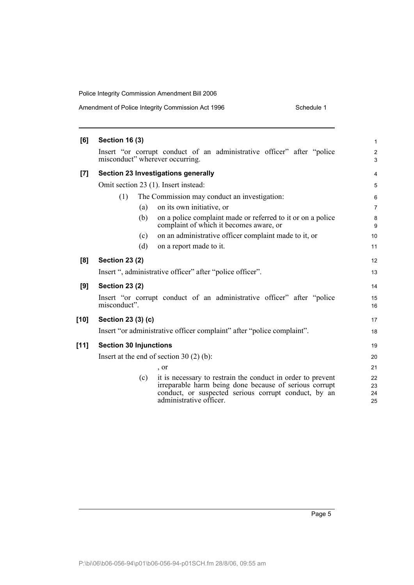| Amendment of Police Integrity Commission Act 1996 | Schedule 1 |
|---------------------------------------------------|------------|
|                                                   |            |

| [6]  | <b>Section 16 (3)</b>         |     |                                                                                                                                                                                                          | $\mathbf{1}$         |
|------|-------------------------------|-----|----------------------------------------------------------------------------------------------------------------------------------------------------------------------------------------------------------|----------------------|
|      |                               |     | Insert "or corrupt conduct of an administrative officer" after "police<br>misconduct" wherever occurring.                                                                                                | $\overline{2}$<br>3  |
| [7]  |                               |     | Section 23 Investigations generally                                                                                                                                                                      | 4                    |
|      |                               |     | Omit section 23 (1). Insert instead:                                                                                                                                                                     | 5                    |
|      | (1)                           |     | The Commission may conduct an investigation:                                                                                                                                                             | 6                    |
|      |                               | (a) | on its own initiative, or                                                                                                                                                                                | $\overline{7}$       |
|      |                               | (b) | on a police complaint made or referred to it or on a police<br>complaint of which it becomes aware, or                                                                                                   | 8<br>9               |
|      |                               | (c) | on an administrative officer complaint made to it, or                                                                                                                                                    | 10                   |
|      |                               | (d) | on a report made to it.                                                                                                                                                                                  | 11                   |
| [8]  | <b>Section 23 (2)</b>         |     |                                                                                                                                                                                                          | 12                   |
|      |                               |     | Insert ", administrative officer" after "police officer".                                                                                                                                                | 13                   |
| [9]  | <b>Section 23 (2)</b>         |     |                                                                                                                                                                                                          | 14                   |
|      | misconduct".                  |     | Insert "or corrupt conduct of an administrative officer" after "police                                                                                                                                   | 15<br>16             |
| [10] | Section 23 (3) (c)            |     |                                                                                                                                                                                                          | 17                   |
|      |                               |     | Insert "or administrative officer complaint" after "police complaint".                                                                                                                                   | 18                   |
| [11] | <b>Section 30 Injunctions</b> |     |                                                                                                                                                                                                          | 19                   |
|      |                               |     | Insert at the end of section $30(2)(b)$ :                                                                                                                                                                | 20                   |
|      |                               |     | , or                                                                                                                                                                                                     | 21                   |
|      |                               | (c) | it is necessary to restrain the conduct in order to prevent<br>irreparable harm being done because of serious corrupt<br>conduct, or suspected serious corrupt conduct, by an<br>administrative officer. | 22<br>23<br>24<br>25 |
|      |                               |     |                                                                                                                                                                                                          |                      |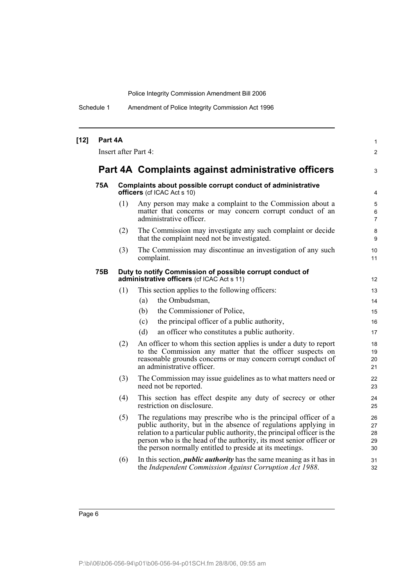Schedule 1 Amendment of Police Integrity Commission Act 1996

| $[12]$ | Part 4A<br>Insert after Part 4: |     |                                                                                                                                                                                                                                                                                                                                                  |                            |  |
|--------|---------------------------------|-----|--------------------------------------------------------------------------------------------------------------------------------------------------------------------------------------------------------------------------------------------------------------------------------------------------------------------------------------------------|----------------------------|--|
|        |                                 |     | Part 4A Complaints against administrative officers                                                                                                                                                                                                                                                                                               | 3                          |  |
|        | 75A                             |     | Complaints about possible corrupt conduct of administrative<br>officers (cf ICAC Act s 10)                                                                                                                                                                                                                                                       | 4                          |  |
|        |                                 | (1) | Any person may make a complaint to the Commission about a<br>matter that concerns or may concern corrupt conduct of an<br>administrative officer.                                                                                                                                                                                                | 5<br>6<br>$\overline{7}$   |  |
|        |                                 | (2) | The Commission may investigate any such complaint or decide<br>that the complaint need not be investigated.                                                                                                                                                                                                                                      | 8<br>9                     |  |
|        |                                 | (3) | The Commission may discontinue an investigation of any such<br>complaint.                                                                                                                                                                                                                                                                        | 10<br>11                   |  |
|        | 75B                             |     | Duty to notify Commission of possible corrupt conduct of<br>administrative officers (cf ICAC Act s 11)                                                                                                                                                                                                                                           | 12                         |  |
|        |                                 | (1) | This section applies to the following officers:                                                                                                                                                                                                                                                                                                  | 13                         |  |
|        |                                 |     | the Ombudsman,<br>(a)                                                                                                                                                                                                                                                                                                                            | 14                         |  |
|        |                                 |     | the Commissioner of Police,<br>(b)                                                                                                                                                                                                                                                                                                               | 15                         |  |
|        |                                 |     | the principal officer of a public authority,<br>(c)                                                                                                                                                                                                                                                                                              | 16                         |  |
|        |                                 |     | (d)<br>an officer who constitutes a public authority.                                                                                                                                                                                                                                                                                            | 17                         |  |
|        |                                 | (2) | An officer to whom this section applies is under a duty to report<br>to the Commission any matter that the officer suspects on<br>reasonable grounds concerns or may concern corrupt conduct of<br>an administrative officer.                                                                                                                    | 18<br>19<br>20<br>21       |  |
|        |                                 | (3) | The Commission may issue guidelines as to what matters need or<br>need not be reported.                                                                                                                                                                                                                                                          | 22<br>23                   |  |
|        |                                 | (4) | This section has effect despite any duty of secrecy or other<br>restriction on disclosure.                                                                                                                                                                                                                                                       | 24<br>25                   |  |
|        |                                 | (5) | The regulations may prescribe who is the principal officer of a<br>public authority, but in the absence of regulations applying in<br>relation to a particular public authority, the principal officer is the<br>person who is the head of the authority, its most senior officer or<br>the person normally entitled to preside at its meetings. | 26<br>27<br>28<br>29<br>30 |  |
|        |                                 | (6) | In this section, <i>public authority</i> has the same meaning as it has in<br>the Independent Commission Against Corruption Act 1988.                                                                                                                                                                                                            | 31<br>32                   |  |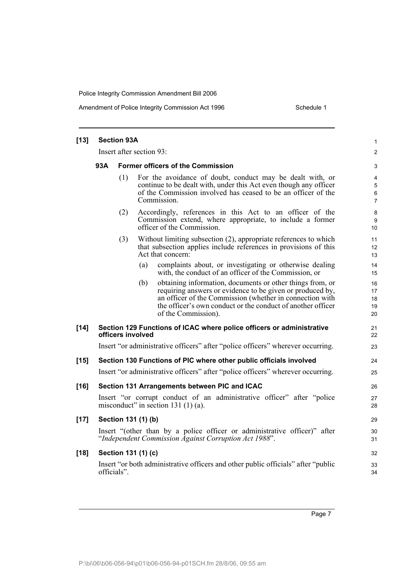### Amendment of Police Integrity Commission Act 1996 Schedule 1

| $[13]$ | <b>Section 93A</b>                              |             |                     |                                                                                                                                                                                                                                                                          |                               |  |
|--------|-------------------------------------------------|-------------|---------------------|--------------------------------------------------------------------------------------------------------------------------------------------------------------------------------------------------------------------------------------------------------------------------|-------------------------------|--|
|        | Insert after section 93:                        |             |                     |                                                                                                                                                                                                                                                                          |                               |  |
|        | 93A<br><b>Former officers of the Commission</b> |             |                     |                                                                                                                                                                                                                                                                          |                               |  |
|        |                                                 | (1)         |                     | For the avoidance of doubt, conduct may be dealt with, or<br>continue to be dealt with, under this Act even though any officer<br>of the Commission involved has ceased to be an officer of the<br>Commission.                                                           | 4<br>5<br>6<br>$\overline{7}$ |  |
|        |                                                 | (2)         |                     | Accordingly, references in this Act to an officer of the<br>Commission extend, where appropriate, to include a former<br>officer of the Commission.                                                                                                                      | 8<br>9<br>10                  |  |
|        |                                                 | (3)         |                     | Without limiting subsection (2), appropriate references to which<br>that subsection applies include references in provisions of this<br>Act that concern:                                                                                                                | 11<br>12<br>13                |  |
|        |                                                 |             | (a)                 | complaints about, or investigating or otherwise dealing<br>with, the conduct of an officer of the Commission, or                                                                                                                                                         | 14<br>15                      |  |
|        |                                                 |             | (b)                 | obtaining information, documents or other things from, or<br>requiring answers or evidence to be given or produced by,<br>an officer of the Commission (whether in connection with<br>the officer's own conduct or the conduct of another officer<br>of the Commission). | 16<br>17<br>18<br>19<br>20    |  |
| $[14]$ |                                                 |             | officers involved   | Section 129 Functions of ICAC where police officers or administrative                                                                                                                                                                                                    | 21<br>22                      |  |
|        |                                                 |             |                     | Insert "or administrative officers" after "police officers" wherever occurring.                                                                                                                                                                                          | 23                            |  |
| $[15]$ |                                                 |             |                     | Section 130 Functions of PIC where other public officials involved                                                                                                                                                                                                       | 24                            |  |
|        |                                                 |             |                     | Insert "or administrative officers" after "police officers" wherever occurring.                                                                                                                                                                                          | 25                            |  |
| $[16]$ |                                                 |             |                     | Section 131 Arrangements between PIC and ICAC                                                                                                                                                                                                                            | 26                            |  |
|        |                                                 |             |                     | Insert "or corrupt conduct of an administrative officer" after "police<br>misconduct" in section 131 $(1)(a)$ .                                                                                                                                                          | 27<br>28                      |  |
| $[17]$ |                                                 |             | Section 131 (1) (b) |                                                                                                                                                                                                                                                                          | 29                            |  |
|        |                                                 |             |                     | Insert "(other than by a police officer or administrative officer)" after<br>"Independent Commission Against Corruption Act 1988".                                                                                                                                       | 30<br>31                      |  |
| $[18]$ |                                                 |             | Section 131 (1) (c) |                                                                                                                                                                                                                                                                          | 32                            |  |
|        |                                                 | officials". |                     | Insert "or both administrative officers and other public officials" after "public                                                                                                                                                                                        | 33<br>34                      |  |
|        |                                                 |             |                     |                                                                                                                                                                                                                                                                          |                               |  |

Page 7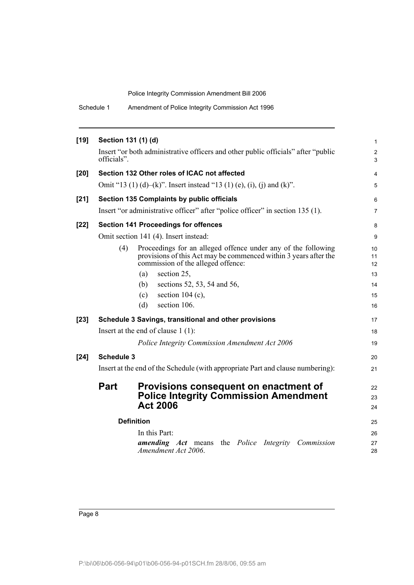Schedule 1 Amendment of Police Integrity Commission Act 1996

| $[19]$ | Section 131 (1) (d) |                                                                                                                                                                         | $\mathbf{1}$        |  |  |
|--------|---------------------|-------------------------------------------------------------------------------------------------------------------------------------------------------------------------|---------------------|--|--|
|        | officials".         | Insert "or both administrative officers and other public officials" after "public                                                                                       | $\overline{c}$<br>3 |  |  |
| $[20]$ |                     | Section 132 Other roles of ICAC not affected                                                                                                                            | $\overline{4}$      |  |  |
|        |                     | Omit "13 (1) (d)–(k)". Insert instead "13 (1) (e), (i), (j) and (k)".                                                                                                   | 5                   |  |  |
| $[21]$ |                     | Section 135 Complaints by public officials                                                                                                                              | 6                   |  |  |
|        |                     | Insert "or administrative officer" after "police officer" in section 135 (1).                                                                                           | $\overline{7}$      |  |  |
| $[22]$ |                     | <b>Section 141 Proceedings for offences</b>                                                                                                                             | 8                   |  |  |
|        |                     | Omit section 141 (4). Insert instead:                                                                                                                                   | 9                   |  |  |
|        | (4)                 | Proceedings for an alleged offence under any of the following<br>provisions of this Act may be commenced within 3 years after the<br>commission of the alleged offence: | 10<br>11<br>12      |  |  |
|        |                     | section 25,<br>(a)                                                                                                                                                      | 13                  |  |  |
|        |                     | (b)<br>sections 52, 53, 54 and 56,                                                                                                                                      | 14                  |  |  |
|        |                     | section $104$ (c),<br>(c)                                                                                                                                               | 15                  |  |  |
|        |                     | section 106.<br>(d)                                                                                                                                                     | 16                  |  |  |
| $[23]$ |                     | Schedule 3 Savings, transitional and other provisions                                                                                                                   | 17                  |  |  |
|        |                     | Insert at the end of clause $1(1)$ :                                                                                                                                    | 18                  |  |  |
|        |                     | Police Integrity Commission Amendment Act 2006                                                                                                                          | 19                  |  |  |
| $[24]$ | <b>Schedule 3</b>   |                                                                                                                                                                         | 20                  |  |  |
|        |                     | Insert at the end of the Schedule (with appropriate Part and clause numbering):                                                                                         | 21                  |  |  |
|        | <b>Part</b>         | Provisions consequent on enactment of<br><b>Police Integrity Commission Amendment</b><br><b>Act 2006</b>                                                                | 22<br>23<br>24      |  |  |
|        | <b>Definition</b>   |                                                                                                                                                                         |                     |  |  |
|        |                     |                                                                                                                                                                         | 25                  |  |  |
|        |                     | In this Part:<br><b>amending</b> Act means the Police Integrity Commission                                                                                              | 26<br>27            |  |  |
|        |                     | Amendment Act 2006.                                                                                                                                                     | 28                  |  |  |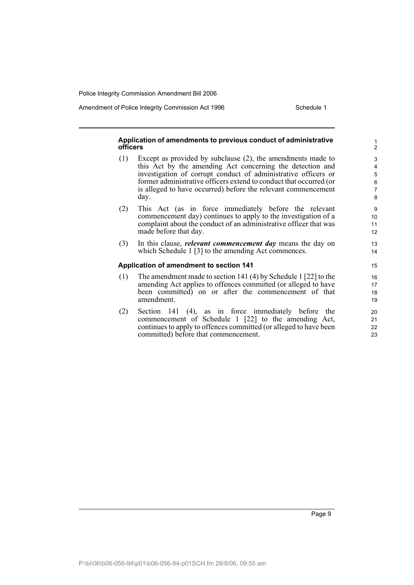Amendment of Police Integrity Commission Act 1996 Schedule 1

### **Application of amendments to previous conduct of administrative officers**

- (1) Except as provided by subclause (2), the amendments made to this Act by the amending Act concerning the detection and investigation of corrupt conduct of administrative officers or former administrative officers extend to conduct that occurred (or is alleged to have occurred) before the relevant commencement day.
- (2) This Act (as in force immediately before the relevant commencement day) continues to apply to the investigation of a complaint about the conduct of an administrative officer that was made before that day.
- (3) In this clause, *relevant commencement day* means the day on which Schedule 1 [3] to the amending Act commences.

### **Application of amendment to section 141**

- (1) The amendment made to section 141 (4) by Schedule 1 [22] to the amending Act applies to offences committed (or alleged to have been committed) on or after the commencement of that amendment.
- (2) Section 141 (4), as in force immediately before the commencement of Schedule 1 [22] to the amending Act, continues to apply to offences committed (or alleged to have been committed) before that commencement.